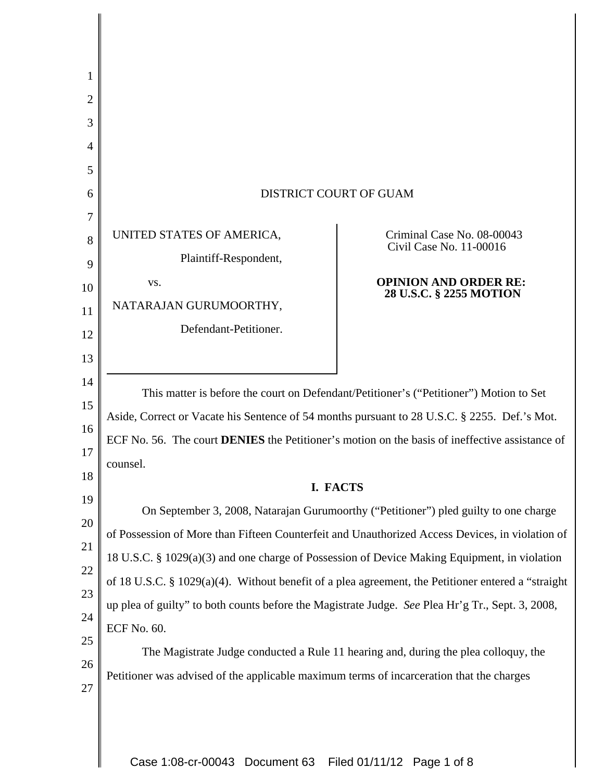| 1                                                                                |                                                                                                                                                                                                                                                                                                                                                                                                                                                                                                                                                                                                                                                                                                                                                                                                                                                                                                                                                                                                                                       |                                                         |  |
|----------------------------------------------------------------------------------|---------------------------------------------------------------------------------------------------------------------------------------------------------------------------------------------------------------------------------------------------------------------------------------------------------------------------------------------------------------------------------------------------------------------------------------------------------------------------------------------------------------------------------------------------------------------------------------------------------------------------------------------------------------------------------------------------------------------------------------------------------------------------------------------------------------------------------------------------------------------------------------------------------------------------------------------------------------------------------------------------------------------------------------|---------------------------------------------------------|--|
| 2                                                                                |                                                                                                                                                                                                                                                                                                                                                                                                                                                                                                                                                                                                                                                                                                                                                                                                                                                                                                                                                                                                                                       |                                                         |  |
| 3                                                                                |                                                                                                                                                                                                                                                                                                                                                                                                                                                                                                                                                                                                                                                                                                                                                                                                                                                                                                                                                                                                                                       |                                                         |  |
| 4                                                                                |                                                                                                                                                                                                                                                                                                                                                                                                                                                                                                                                                                                                                                                                                                                                                                                                                                                                                                                                                                                                                                       |                                                         |  |
| 5                                                                                |                                                                                                                                                                                                                                                                                                                                                                                                                                                                                                                                                                                                                                                                                                                                                                                                                                                                                                                                                                                                                                       |                                                         |  |
| 6                                                                                | <b>DISTRICT COURT OF GUAM</b>                                                                                                                                                                                                                                                                                                                                                                                                                                                                                                                                                                                                                                                                                                                                                                                                                                                                                                                                                                                                         |                                                         |  |
| 7                                                                                |                                                                                                                                                                                                                                                                                                                                                                                                                                                                                                                                                                                                                                                                                                                                                                                                                                                                                                                                                                                                                                       |                                                         |  |
| 8                                                                                | UNITED STATES OF AMERICA,                                                                                                                                                                                                                                                                                                                                                                                                                                                                                                                                                                                                                                                                                                                                                                                                                                                                                                                                                                                                             | Criminal Case No. 08-00043<br>Civil Case No. 11-00016   |  |
| 9                                                                                | Plaintiff-Respondent,                                                                                                                                                                                                                                                                                                                                                                                                                                                                                                                                                                                                                                                                                                                                                                                                                                                                                                                                                                                                                 |                                                         |  |
| 10                                                                               | VS.                                                                                                                                                                                                                                                                                                                                                                                                                                                                                                                                                                                                                                                                                                                                                                                                                                                                                                                                                                                                                                   | <b>OPINION AND ORDER RE:</b><br>28 U.S.C. § 2255 MOTION |  |
| 11                                                                               | NATARAJAN GURUMOORTHY,                                                                                                                                                                                                                                                                                                                                                                                                                                                                                                                                                                                                                                                                                                                                                                                                                                                                                                                                                                                                                |                                                         |  |
| 12                                                                               | Defendant-Petitioner.                                                                                                                                                                                                                                                                                                                                                                                                                                                                                                                                                                                                                                                                                                                                                                                                                                                                                                                                                                                                                 |                                                         |  |
| 13                                                                               |                                                                                                                                                                                                                                                                                                                                                                                                                                                                                                                                                                                                                                                                                                                                                                                                                                                                                                                                                                                                                                       |                                                         |  |
| 14<br>15<br>16<br>17<br>18<br>19<br>20<br>21<br>22<br>23<br>24<br>25<br>26<br>27 | This matter is before the court on Defendant/Petitioner's ("Petitioner") Motion to Set<br>Aside, Correct or Vacate his Sentence of 54 months pursuant to 28 U.S.C. § 2255. Def.'s Mot.<br>ECF No. 56. The court <b>DENIES</b> the Petitioner's motion on the basis of ineffective assistance of<br>counsel.<br>I. FACTS<br>On September 3, 2008, Natarajan Gurumoorthy ("Petitioner") pled guilty to one charge<br>of Possession of More than Fifteen Counterfeit and Unauthorized Access Devices, in violation of<br>18 U.S.C. § 1029(a)(3) and one charge of Possession of Device Making Equipment, in violation<br>of 18 U.S.C. § 1029(a)(4). Without benefit of a plea agreement, the Petitioner entered a "straight<br>up plea of guilty" to both counts before the Magistrate Judge. See Plea Hr'g Tr., Sept. 3, 2008,<br><b>ECF No. 60.</b><br>The Magistrate Judge conducted a Rule 11 hearing and, during the plea colloquy, the<br>Petitioner was advised of the applicable maximum terms of incarceration that the charges |                                                         |  |
|                                                                                  | Case 1:08-cr-00043 Document 63                                                                                                                                                                                                                                                                                                                                                                                                                                                                                                                                                                                                                                                                                                                                                                                                                                                                                                                                                                                                        | Filed 01/11/12 Page 1 of 8                              |  |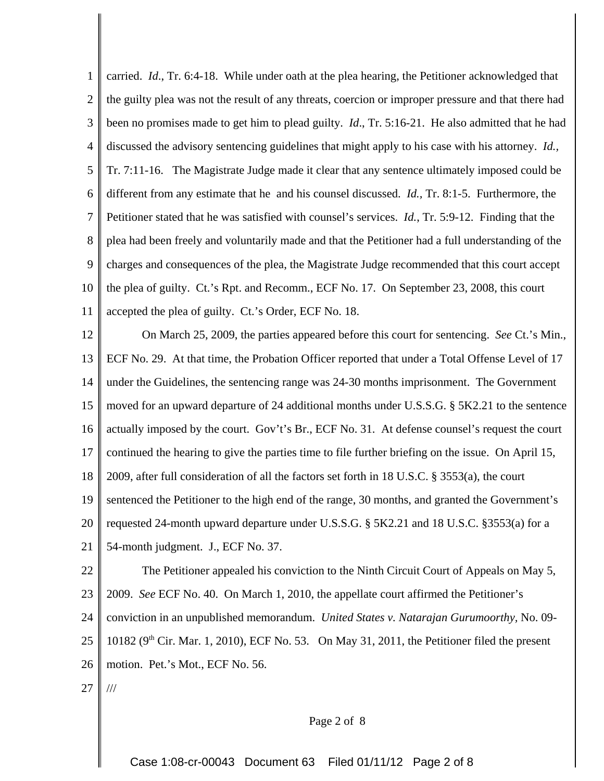1 2 3 4 5 6 7 8 9 10 11 carried. *Id*., Tr. 6:4-18. While under oath at the plea hearing, the Petitioner acknowledged that the guilty plea was not the result of any threats, coercion or improper pressure and that there had been no promises made to get him to plead guilty. *Id*., Tr. 5:16-21. He also admitted that he had discussed the advisory sentencing guidelines that might apply to his case with his attorney. *Id.,* Tr. 7:11-16. The Magistrate Judge made it clear that any sentence ultimately imposed could be different from any estimate that he and his counsel discussed. *Id.,* Tr. 8:1-5. Furthermore, the Petitioner stated that he was satisfied with counsel's services. *Id.*, Tr. 5:9-12. Finding that the plea had been freely and voluntarily made and that the Petitioner had a full understanding of the charges and consequences of the plea, the Magistrate Judge recommended that this court accept the plea of guilty. Ct.'s Rpt. and Recomm., ECF No. 17. On September 23, 2008, this court accepted the plea of guilty. Ct.'s Order, ECF No. 18.

12 13 14 15 16 17 18 19 20 21 22 On March 25, 2009, the parties appeared before this court for sentencing. *See* Ct.'s Min., ECF No. 29. At that time, the Probation Officer reported that under a Total Offense Level of 17 under the Guidelines, the sentencing range was 24-30 months imprisonment. The Government moved for an upward departure of 24 additional months under U.S.S.G. § 5K2.21 to the sentence actually imposed by the court. Gov't's Br., ECF No. 31. At defense counsel's request the court continued the hearing to give the parties time to file further briefing on the issue. On April 15, 2009, after full consideration of all the factors set forth in 18 U.S.C. § 3553(a), the court sentenced the Petitioner to the high end of the range, 30 months, and granted the Government's requested 24-month upward departure under U.S.S.G. § 5K2.21 and 18 U.S.C. §3553(a) for a 54-month judgment. J., ECF No. 37. The Petitioner appealed his conviction to the Ninth Circuit Court of Appeals on May 5,

23 2009. *See* ECF No. 40. On March 1, 2010, the appellate court affirmed the Petitioner's

24 conviction in an unpublished memorandum. *United States v. Natarajan Gurumoorthy,* No. 09-

25 10182 ( $9<sup>th</sup>$  Cir. Mar. 1, 2010), ECF No. 53. On May 31, 2011, the Petitioner filed the present

26 motion. Pet.'s Mot., ECF No. 56.

27 ///

Page 2 of 8

Case 1:08-cr-00043 Document 63 Filed 01/11/12 Page 2 of 8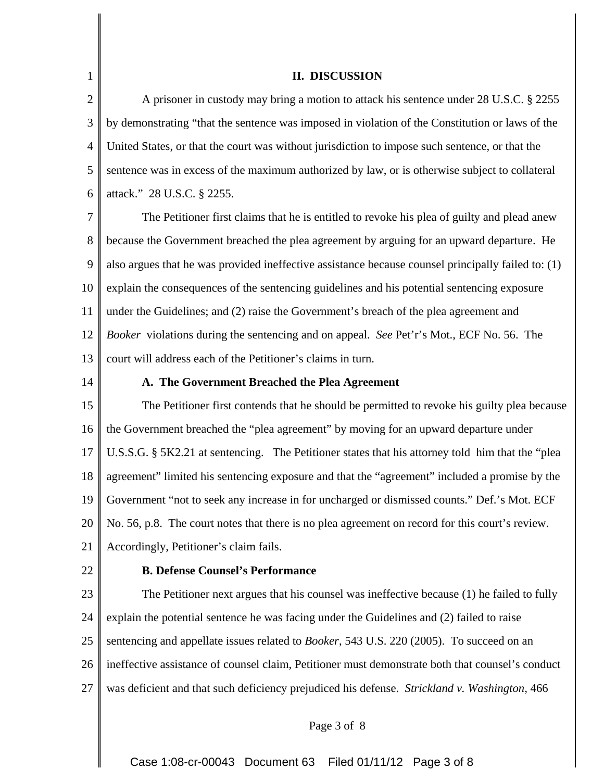### **II. DISCUSSION**

2 3 4 5 6 A prisoner in custody may bring a motion to attack his sentence under 28 U.S.C. § 2255 by demonstrating "that the sentence was imposed in violation of the Constitution or laws of the United States, or that the court was without jurisdiction to impose such sentence, or that the sentence was in excess of the maximum authorized by law, or is otherwise subject to collateral attack." 28 U.S.C. § 2255.

7 8 9 10 11 12 13 The Petitioner first claims that he is entitled to revoke his plea of guilty and plead anew because the Government breached the plea agreement by arguing for an upward departure. He also argues that he was provided ineffective assistance because counsel principally failed to: (1) explain the consequences of the sentencing guidelines and his potential sentencing exposure under the Guidelines; and (2) raise the Government's breach of the plea agreement and *Booker* violations during the sentencing and on appeal. *See* Pet'r's Mot., ECF No. 56. The court will address each of the Petitioner's claims in turn.

14

1

## **A. The Government Breached the Plea Agreement**

15 16 17 18 19 20 21 The Petitioner first contends that he should be permitted to revoke his guilty plea because the Government breached the "plea agreement" by moving for an upward departure under U.S.S.G. § 5K2.21 at sentencing. The Petitioner states that his attorney told him that the "plea agreement" limited his sentencing exposure and that the "agreement" included a promise by the Government "not to seek any increase in for uncharged or dismissed counts." Def.'s Mot. ECF No. 56, p.8. The court notes that there is no plea agreement on record for this court's review. Accordingly, Petitioner's claim fails.

22

#### **B. Defense Counsel's Performance**

23 24 25 26 27 The Petitioner next argues that his counsel was ineffective because (1) he failed to fully explain the potential sentence he was facing under the Guidelines and (2) failed to raise sentencing and appellate issues related to *Booker*, 543 U.S. 220 (2005). To succeed on an ineffective assistance of counsel claim, Petitioner must demonstrate both that counsel's conduct was deficient and that such deficiency prejudiced his defense. *Strickland v. Washington*, 466

Page 3 of 8

Case 1:08-cr-00043 Document 63 Filed 01/11/12 Page 3 of 8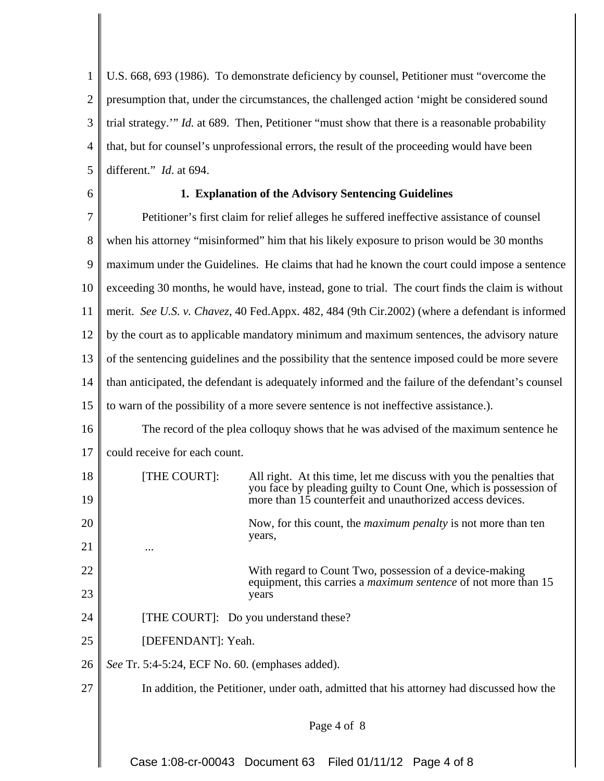1 2 3 4 5 U.S. 668, 693 (1986). To demonstrate deficiency by counsel, Petitioner must "overcome the presumption that, under the circumstances, the challenged action 'might be considered sound trial strategy.'" *Id.* at 689. Then, Petitioner "must show that there is a reasonable probability that, but for counsel's unprofessional errors, the result of the proceeding would have been different." *Id*. at 694.

6

# **1. Explanation of the Advisory Sentencing Guidelines**

7 8 9 10 11 12 13 14 15 16 17 18 19 20 21 22 23 24 25 26 27 Petitioner's first claim for relief alleges he suffered ineffective assistance of counsel when his attorney "misinformed" him that his likely exposure to prison would be 30 months maximum under the Guidelines. He claims that had he known the court could impose a sentence exceeding 30 months, he would have, instead, gone to trial. The court finds the claim is without merit. *See U.S. v. Chavez*, 40 Fed.Appx. 482, 484 (9th Cir.2002) (where a defendant is informed by the court as to applicable mandatory minimum and maximum sentences, the advisory nature of the sentencing guidelines and the possibility that the sentence imposed could be more severe than anticipated, the defendant is adequately informed and the failure of the defendant's counsel to warn of the possibility of a more severe sentence is not ineffective assistance.). The record of the plea colloquy shows that he was advised of the maximum sentence he could receive for each count. [THE COURT]: All right. At this time, let me discuss with you the penalties that you face by pleading guilty to Count One, which is possession of more than 15 counterfeit and unauthorized access devices. Now, for this count, the *maximum penalty* is not more than ten years, ... With regard to Count Two, possession of a device-making equipment, this carries a *maximum sentence* of not more than 15 years [THE COURT]: Do you understand these? [DEFENDANT]: Yeah. *See* Tr. 5:4-5:24, ECF No. 60. (emphases added). In addition, the Petitioner, under oath, admitted that his attorney had discussed how the Page 4 of 8

Case 1:08-cr-00043 Document 63 Filed 01/11/12 Page 4 of 8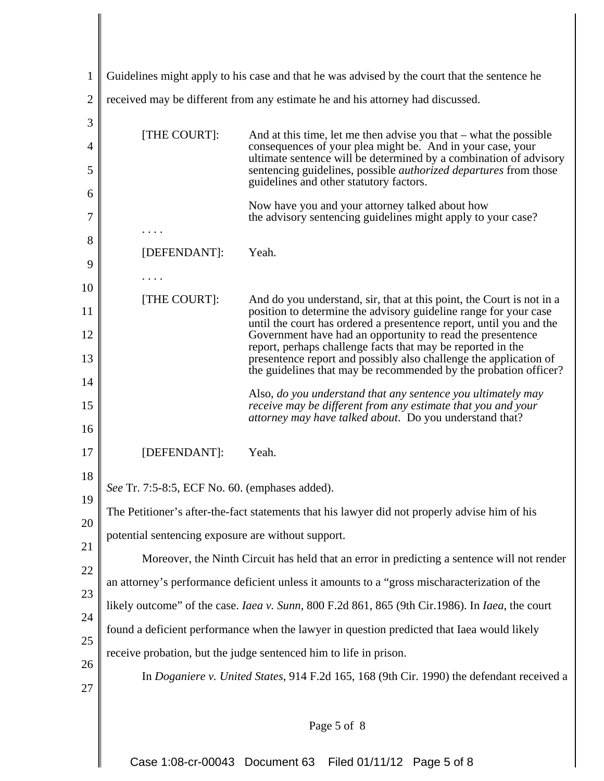| 1                        | Guidelines might apply to his case and that he was advised by the court that the sentence he                                                                                                                                                                                                                                                         |                                                                                                                                                                                                                                                                                                                                                                                                                                                                                        |  |
|--------------------------|------------------------------------------------------------------------------------------------------------------------------------------------------------------------------------------------------------------------------------------------------------------------------------------------------------------------------------------------------|----------------------------------------------------------------------------------------------------------------------------------------------------------------------------------------------------------------------------------------------------------------------------------------------------------------------------------------------------------------------------------------------------------------------------------------------------------------------------------------|--|
| $\overline{2}$           | received may be different from any estimate he and his attorney had discussed.                                                                                                                                                                                                                                                                       |                                                                                                                                                                                                                                                                                                                                                                                                                                                                                        |  |
| 3<br>$\overline{4}$<br>5 | [THE COURT]:                                                                                                                                                                                                                                                                                                                                         | And at this time, let me then advise you that $-$ what the possible<br>consequences of your plea might be. And in your case, your<br>ultimate sentence will be determined by a combination of advisory<br>sentencing guidelines, possible <i>authorized departures</i> from those                                                                                                                                                                                                      |  |
| 6<br>7<br>8              |                                                                                                                                                                                                                                                                                                                                                      | guidelines and other statutory factors.<br>Now have you and your attorney talked about how<br>the advisory sentencing guidelines might apply to your case?                                                                                                                                                                                                                                                                                                                             |  |
| 9                        | [DEFENDANT]:                                                                                                                                                                                                                                                                                                                                         | Yeah.                                                                                                                                                                                                                                                                                                                                                                                                                                                                                  |  |
| 10<br>11<br>12<br>13     | [THE COURT]:                                                                                                                                                                                                                                                                                                                                         | And do you understand, sir, that at this point, the Court is not in a<br>position to determine the advisory guideline range for your case<br>until the court has ordered a presentence report, until you and the<br>Government have had an opportunity to read the presentence<br>report, perhaps challenge facts that may be reported in the<br>presentence report and possibly also challenge the application of<br>the guidelines that may be recommended by the probation officer? |  |
| 14<br>15<br>16           |                                                                                                                                                                                                                                                                                                                                                      | Also, do you understand that any sentence you ultimately may<br>receive may be different from any estimate that you and your<br>attorney may have talked about. Do you understand that?                                                                                                                                                                                                                                                                                                |  |
| 17<br>18                 | [DEFENDANT]:                                                                                                                                                                                                                                                                                                                                         | Yeah.                                                                                                                                                                                                                                                                                                                                                                                                                                                                                  |  |
| 19                       | See Tr. 7:5-8:5, ECF No. 60. (emphases added).                                                                                                                                                                                                                                                                                                       |                                                                                                                                                                                                                                                                                                                                                                                                                                                                                        |  |
| 20                       | The Petitioner's after-the-fact statements that his lawyer did not properly advise him of his                                                                                                                                                                                                                                                        |                                                                                                                                                                                                                                                                                                                                                                                                                                                                                        |  |
| 21                       | potential sentencing exposure are without support.<br>Moreover, the Ninth Circuit has held that an error in predicting a sentence will not render<br>an attorney's performance deficient unless it amounts to a "gross mischaracterization of the<br>likely outcome" of the case. Iaea v. Sunn, 800 F.2d 861, 865 (9th Cir.1986). In Iaea, the court |                                                                                                                                                                                                                                                                                                                                                                                                                                                                                        |  |
| 22<br>23                 |                                                                                                                                                                                                                                                                                                                                                      |                                                                                                                                                                                                                                                                                                                                                                                                                                                                                        |  |
| 24<br>25                 | found a deficient performance when the lawyer in question predicted that Iaea would likely                                                                                                                                                                                                                                                           |                                                                                                                                                                                                                                                                                                                                                                                                                                                                                        |  |
| 26                       | receive probation, but the judge sentenced him to life in prison.                                                                                                                                                                                                                                                                                    |                                                                                                                                                                                                                                                                                                                                                                                                                                                                                        |  |
| 27                       |                                                                                                                                                                                                                                                                                                                                                      | In Doganiere v. United States, 914 F.2d 165, 168 (9th Cir. 1990) the defendant received a                                                                                                                                                                                                                                                                                                                                                                                              |  |
|                          |                                                                                                                                                                                                                                                                                                                                                      | Page 5 of 8                                                                                                                                                                                                                                                                                                                                                                                                                                                                            |  |

Case 1:08-cr-00043 Document 63 Filed 01/11/12 Page 5 of 8

 $\mathbf l$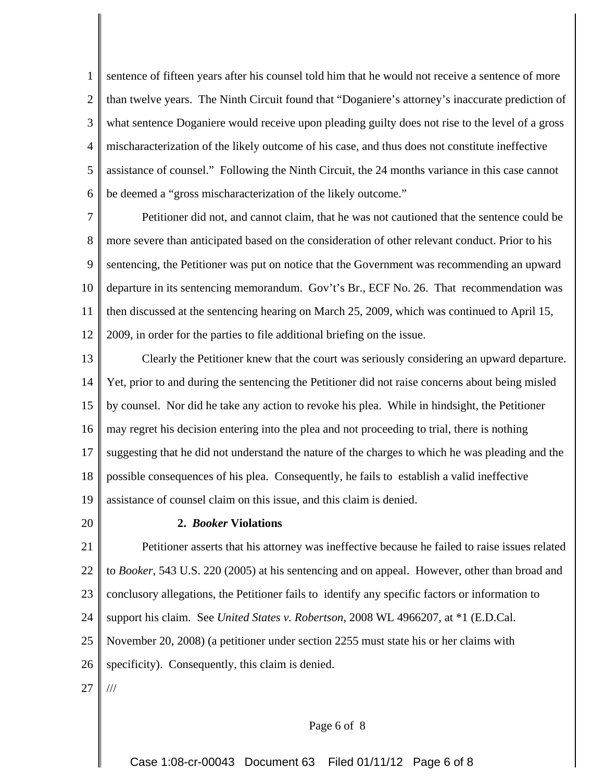1 2 3 4 5 6 sentence of fifteen years after his counsel told him that he would not receive a sentence of more than twelve years. The Ninth Circuit found that "Doganiere's attorney's inaccurate prediction of what sentence Doganiere would receive upon pleading guilty does not rise to the level of a gross mischaracterization of the likely outcome of his case, and thus does not constitute ineffective assistance of counsel." Following the Ninth Circuit, the 24 months variance in this case cannot be deemed a "gross mischaracterization of the likely outcome."

7 8 9 10 11 12 Petitioner did not, and cannot claim, that he was not cautioned that the sentence could be more severe than anticipated based on the consideration of other relevant conduct. Prior to his sentencing, the Petitioner was put on notice that the Government was recommending an upward departure in its sentencing memorandum. Gov't's Br., ECF No. 26. That recommendation was then discussed at the sentencing hearing on March 25, 2009, which was continued to April 15, 2009, in order for the parties to file additional briefing on the issue.

13 14 15 16 17 18 19 Clearly the Petitioner knew that the court was seriously considering an upward departure. Yet, prior to and during the sentencing the Petitioner did not raise concerns about being misled by counsel. Nor did he take any action to revoke his plea. While in hindsight, the Petitioner may regret his decision entering into the plea and not proceeding to trial, there is nothing suggesting that he did not understand the nature of the charges to which he was pleading and the possible consequences of his plea. Consequently, he fails to establish a valid ineffective assistance of counsel claim on this issue, and this claim is denied.

20

## **2.** *Booker* **Violations**

21 22 23 24 25 Petitioner asserts that his attorney was ineffective because he failed to raise issues related to *Booker*, 543 U.S. 220 (2005) at his sentencing and on appeal. However, other than broad and conclusory allegations, the Petitioner fails to identify any specific factors or information to support his claim. See *United States v. Robertson*, 2008 WL 4966207, at \*1 (E.D.Cal.

November 20, 2008) (a petitioner under section 2255 must state his or her claims with

26 specificity). Consequently, this claim is denied.

27 ///

#### Page 6 of 8

Case 1:08-cr-00043 Document 63 Filed 01/11/12 Page 6 of 8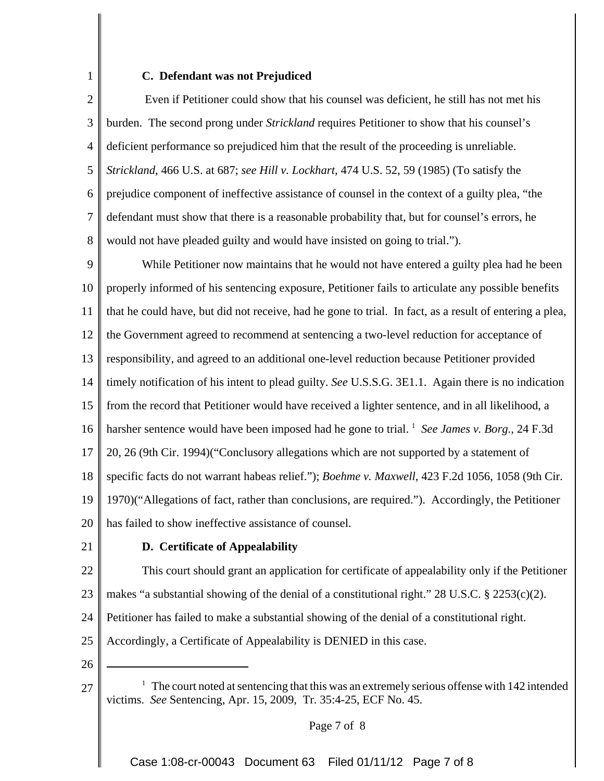## **C. Defendant was not Prejudiced**

2 3 4 5 6 7 8 Even if Petitioner could show that his counsel was deficient, he still has not met his burden. The second prong under *Strickland* requires Petitioner to show that his counsel's deficient performance so prejudiced him that the result of the proceeding is unreliable. *Strickland*, 466 U.S. at 687; *see Hill v. Lockhart*, 474 U.S. 52, 59 (1985) (To satisfy the prejudice component of ineffective assistance of counsel in the context of a guilty plea, "the defendant must show that there is a reasonable probability that, but for counsel's errors, he would not have pleaded guilty and would have insisted on going to trial.").

9 10 11 12 13 14 15 16 17 18 19 20 While Petitioner now maintains that he would not have entered a guilty plea had he been properly informed of his sentencing exposure, Petitioner fails to articulate any possible benefits that he could have, but did not receive, had he gone to trial. In fact, as a result of entering a plea, the Government agreed to recommend at sentencing a two-level reduction for acceptance of responsibility, and agreed to an additional one-level reduction because Petitioner provided timely notification of his intent to plead guilty. *See* U.S.S.G. 3E1.1. Again there is no indication from the record that Petitioner would have received a lighter sentence, and in all likelihood, a harsher sentence would have been imposed had he gone to trial. <sup>1</sup> See James v. Borg., 24 F.3d 20, 26 (9th Cir. 1994)("Conclusory allegations which are not supported by a statement of specific facts do not warrant habeas relief."); *Boehme v. Maxwell*, 423 F.2d 1056, 1058 (9th Cir. 1970)("Allegations of fact, rather than conclusions, are required."). Accordingly, the Petitioner has failed to show ineffective assistance of counsel.

21

1

## **D. Certificate of Appealability**

22 23 This court should grant an application for certificate of appealability only if the Petitioner makes "a substantial showing of the denial of a constitutional right." 28 U.S.C.  $\S$  2253(c)(2).

24 Petitioner has failed to make a substantial showing of the denial of a constitutional right.

25 Accordingly, a Certificate of Appealability is DENIED in this case.

26

<sup>27</sup>  $1$  The court noted at sentencing that this was an extremely serious offense with 142 intended victims. *See* Sentencing, Apr. 15, 2009, Tr. 35:4-25, ECF No. 45.